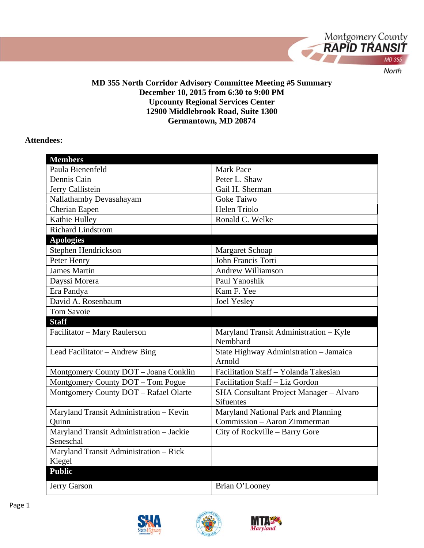

### **MD 355 North Corridor Advisory Committee Meeting #5 Summary December 10, 2015 from 6:30 to 9:00 PM Upcounty Regional Services Center 12900 Middlebrook Road, Suite 1300 Germantown, MD 20874**

#### **Attendees:**

| <b>Members</b>                           |                                                |
|------------------------------------------|------------------------------------------------|
| Paula Bienenfeld                         | <b>Mark Pace</b>                               |
| Dennis Cain                              | Peter L. Shaw                                  |
| Jerry Callistein                         | Gail H. Sherman                                |
| Nallathamby Devasahayam                  | <b>Goke Taiwo</b>                              |
| Cherian Eapen                            | Helen Triolo                                   |
| Kathie Hulley                            | Ronald C. Welke                                |
| <b>Richard Lindstrom</b>                 |                                                |
| <b>Apologies</b>                         |                                                |
| Stephen Hendrickson                      | <b>Margaret Schoap</b>                         |
| Peter Henry                              | John Francis Torti                             |
| <b>James Martin</b>                      | <b>Andrew Williamson</b>                       |
| Dayssi Morera                            | Paul Yanoshik                                  |
| Era Pandya                               | Kam F. Yee                                     |
| David A. Rosenbaum                       | Joel Yesley                                    |
| <b>Tom Savoie</b>                        |                                                |
| <b>Staff</b>                             |                                                |
|                                          |                                                |
| Facilitator - Mary Raulerson             | Maryland Transit Administration - Kyle         |
|                                          | Nembhard                                       |
| Lead Facilitator - Andrew Bing           | State Highway Administration - Jamaica         |
|                                          | Arnold                                         |
| Montgomery County DOT - Joana Conklin    | Facilitation Staff - Yolanda Takesian          |
| Montgomery County DOT - Tom Pogue        | Facilitation Staff - Liz Gordon                |
| Montgomery County DOT - Rafael Olarte    | <b>SHA Consultant Project Manager - Alvaro</b> |
|                                          | <b>Sifuentes</b>                               |
| Maryland Transit Administration - Kevin  | Maryland National Park and Planning            |
| Quinn                                    | Commission - Aaron Zimmerman                   |
| Maryland Transit Administration - Jackie | City of Rockville – Barry Gore                 |
| Seneschal                                |                                                |
| Maryland Transit Administration - Rick   |                                                |
| Kiegel                                   |                                                |
| <b>Public</b>                            |                                                |
| Jerry Garson                             | Brian O'Looney                                 |



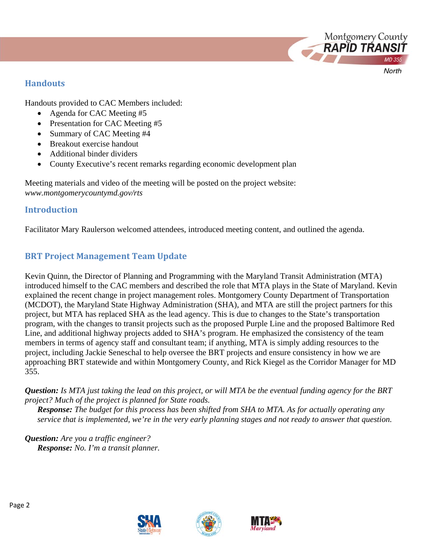

Handouts provided to CAC Members included:

- Agenda for CAC Meeting #5
- Presentation for CAC Meeting #5
- Summary of CAC Meeting #4
- Breakout exercise handout
- Additional binder dividers
- County Executive's recent remarks regarding economic development plan

Meeting materials and video of the meeting will be posted on the project website: *www.montgomerycountymd.gov/rts*

## **Introduction**

Facilitator Mary Raulerson welcomed attendees, introduced meeting content, and outlined the agenda.

# **BRT** Project Management Team Update

Kevin Quinn, the Director of Planning and Programming with the Maryland Transit Administration (MTA) introduced himself to the CAC members and described the role that MTA plays in the State of Maryland. Kevin explained the recent change in project management roles. Montgomery County Department of Transportation (MCDOT), the Maryland State Highway Administration (SHA), and MTA are still the project partners for this project, but MTA has replaced SHA as the lead agency. This is due to changes to the State's transportation program, with the changes to transit projects such as the proposed Purple Line and the proposed Baltimore Red Line, and additional highway projects added to SHA's program. He emphasized the consistency of the team members in terms of agency staff and consultant team; if anything, MTA is simply adding resources to the project, including Jackie Seneschal to help oversee the BRT projects and ensure consistency in how we are approaching BRT statewide and within Montgomery County, and Rick Kiegel as the Corridor Manager for MD 355.

*Question: Is MTA just taking the lead on this project, or will MTA be the eventual funding agency for the BRT project? Much of the project is planned for State roads.* 

*Response: The budget for this process has been shifted from SHA to MTA. As for actually operating any service that is implemented, we're in the very early planning stages and not ready to answer that question.* 

*Question: Are you a traffic engineer? Response: No. I'm a transit planner.* 





Montgomery County<br>**RAPID TRANSIT** 

North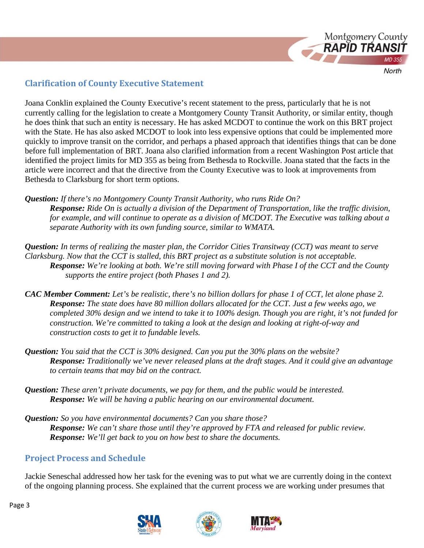

## **Clarification of County Executive Statement**

Joana Conklin explained the County Executive's recent statement to the press, particularly that he is not currently calling for the legislation to create a Montgomery County Transit Authority, or similar entity, though he does think that such an entity is necessary. He has asked MCDOT to continue the work on this BRT project with the State. He has also asked MCDOT to look into less expensive options that could be implemented more quickly to improve transit on the corridor, and perhaps a phased approach that identifies things that can be done before full implementation of BRT. Joana also clarified information from a recent Washington Post article that identified the project limits for MD 355 as being from Bethesda to Rockville. Joana stated that the facts in the article were incorrect and that the directive from the County Executive was to look at improvements from Bethesda to Clarksburg for short term options.

*Question: If there's no Montgomery County Transit Authority, who runs Ride On? Response: Ride On is actually a division of the Department of Transportation, like the traffic division, for example, and will continue to operate as a division of MCDOT. The Executive was talking about a separate Authority with its own funding source, similar to WMATA.* 

*Question: In terms of realizing the master plan, the Corridor Cities Transitway (CCT) was meant to serve Clarksburg. Now that the CCT is stalled, this BRT project as a substitute solution is not acceptable. Response: We're looking at both. We're still moving forward with Phase I of the CCT and the County supports the entire project (both Phases 1 and 2).* 

- *CAC Member Comment: Let's be realistic, there's no billion dollars for phase 1 of CCT, let alone phase 2. Response: The state does have 80 million dollars allocated for the CCT. Just a few weeks ago, we completed 30% design and we intend to take it to 100% design. Though you are right, it's not funded for construction. We're committed to taking a look at the design and looking at right-of-way and construction costs to get it to fundable levels.*
- *Question: You said that the CCT is 30% designed. Can you put the 30% plans on the website? Response: Traditionally we've never released plans at the draft stages. And it could give an advantage to certain teams that may bid on the contract.*
- *Question: These aren't private documents, we pay for them, and the public would be interested. Response: We will be having a public hearing on our environmental document.*
- *Question: So you have environmental documents? Can you share those? Response: We can't share those until they're approved by FTA and released for public review. Response: We'll get back to you on how best to share the documents.*

# **Project Process and Schedule**

Jackie Seneschal addressed how her task for the evening was to put what we are currently doing in the context of the ongoing planning process. She explained that the current process we are working under presumes that





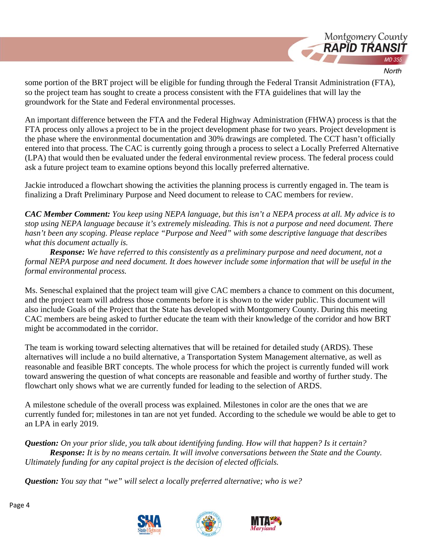

some portion of the BRT project will be eligible for funding through the Federal Transit Administration (FTA), so the project team has sought to create a process consistent with the FTA guidelines that will lay the groundwork for the State and Federal environmental processes.

An important difference between the FTA and the Federal Highway Administration (FHWA) process is that the FTA process only allows a project to be in the project development phase for two years. Project development is the phase where the environmental documentation and 30% drawings are completed. The CCT hasn't officially entered into that process. The CAC is currently going through a process to select a Locally Preferred Alternative (LPA) that would then be evaluated under the federal environmental review process. The federal process could ask a future project team to examine options beyond this locally preferred alternative.

Jackie introduced a flowchart showing the activities the planning process is currently engaged in. The team is finalizing a Draft Preliminary Purpose and Need document to release to CAC members for review.

*CAC Member Comment: You keep using NEPA language, but this isn't a NEPA process at all. My advice is to stop using NEPA language because it's extremely misleading. This is not a purpose and need document. There hasn't been any scoping. Please replace "Purpose and Need" with some descriptive language that describes what this document actually is.* 

*Response: We have referred to this consistently as a preliminary purpose and need document, not a formal NEPA purpose and need document. It does however include some information that will be useful in the formal environmental process.* 

Ms. Seneschal explained that the project team will give CAC members a chance to comment on this document, and the project team will address those comments before it is shown to the wider public. This document will also include Goals of the Project that the State has developed with Montgomery County. During this meeting CAC members are being asked to further educate the team with their knowledge of the corridor and how BRT might be accommodated in the corridor.

The team is working toward selecting alternatives that will be retained for detailed study (ARDS). These alternatives will include a no build alternative, a Transportation System Management alternative, as well as reasonable and feasible BRT concepts. The whole process for which the project is currently funded will work toward answering the question of what concepts are reasonable and feasible and worthy of further study. The flowchart only shows what we are currently funded for leading to the selection of ARDS.

A milestone schedule of the overall process was explained. Milestones in color are the ones that we are currently funded for; milestones in tan are not yet funded. According to the schedule we would be able to get to an LPA in early 2019.

*Question: On your prior slide, you talk about identifying funding. How will that happen? Is it certain? Response: It is by no means certain. It will involve conversations between the State and the County. Ultimately funding for any capital project is the decision of elected officials.* 

*Question: You say that "we" will select a locally preferred alternative; who is we?* 



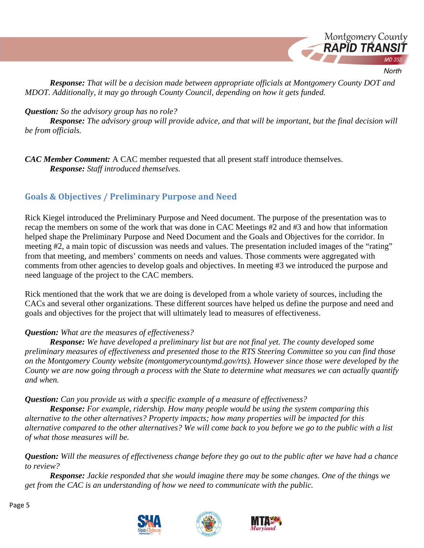

*Response: That will be a decision made between appropriate officials at Montgomery County DOT and MDOT. Additionally, it may go through County Council, depending on how it gets funded.* 

### *Question: So the advisory group has no role?*

*Response: The advisory group will provide advice, and that will be important, but the final decision will be from officials.* 

*CAC Member Comment:* A CAC member requested that all present staff introduce themselves. *Response: Staff introduced themselves.* 

# **Goals & Objectives / Preliminary Purpose and Need**

Rick Kiegel introduced the Preliminary Purpose and Need document. The purpose of the presentation was to recap the members on some of the work that was done in CAC Meetings #2 and #3 and how that information helped shape the Preliminary Purpose and Need Document and the Goals and Objectives for the corridor. In meeting #2, a main topic of discussion was needs and values. The presentation included images of the "rating" from that meeting, and members' comments on needs and values. Those comments were aggregated with comments from other agencies to develop goals and objectives. In meeting #3 we introduced the purpose and need language of the project to the CAC members.

Rick mentioned that the work that we are doing is developed from a whole variety of sources, including the CACs and several other organizations. These different sources have helped us define the purpose and need and goals and objectives for the project that will ultimately lead to measures of effectiveness.

## *Question: What are the measures of effectiveness?*

*Response: We have developed a preliminary list but are not final yet. The county developed some preliminary measures of effectiveness and presented those to the RTS Steering Committee so you can find those on the Montgomery County website (montgomerycountymd.gov/rts). However since those were developed by the County we are now going through a process with the State to determine what measures we can actually quantify and when.* 

*Question: Can you provide us with a specific example of a measure of effectiveness?* 

*Response: For example, ridership. How many people would be using the system comparing this alternative to the other alternatives? Property impacts; how many properties will be impacted for this alternative compared to the other alternatives? We will come back to you before we go to the public with a list of what those measures will be.* 

*Question: Will the measures of effectiveness change before they go out to the public after we have had a chance to review?* 

*Response: Jackie responded that she would imagine there may be some changes. One of the things we get from the CAC is an understanding of how we need to communicate with the public.* 





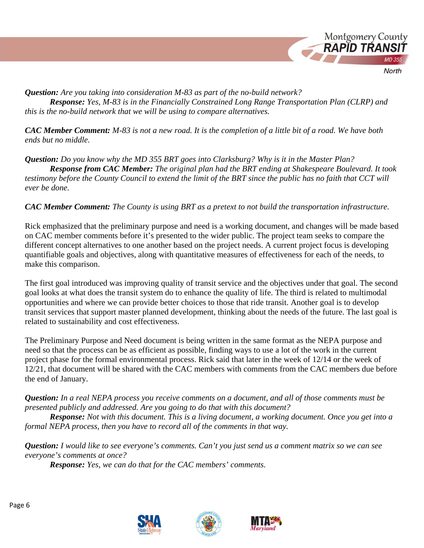

*Question: Are you taking into consideration M-83 as part of the no-build network? Response: Yes, M-83 is in the Financially Constrained Long Range Transportation Plan (CLRP) and this is the no-build network that we will be using to compare alternatives.* 

*CAC Member Comment: M-83 is not a new road. It is the completion of a little bit of a road. We have both ends but no middle.* 

*Question: Do you know why the MD 355 BRT goes into Clarksburg? Why is it in the Master Plan? Response from CAC Member: The original plan had the BRT ending at Shakespeare Boulevard. It took testimony before the County Council to extend the limit of the BRT since the public has no faith that CCT will ever be done.* 

## *CAC Member Comment: The County is using BRT as a pretext to not build the transportation infrastructure.*

Rick emphasized that the preliminary purpose and need is a working document, and changes will be made based on CAC member comments before it's presented to the wider public. The project team seeks to compare the different concept alternatives to one another based on the project needs. A current project focus is developing quantifiable goals and objectives, along with quantitative measures of effectiveness for each of the needs, to make this comparison.

The first goal introduced was improving quality of transit service and the objectives under that goal. The second goal looks at what does the transit system do to enhance the quality of life. The third is related to multimodal opportunities and where we can provide better choices to those that ride transit. Another goal is to develop transit services that support master planned development, thinking about the needs of the future. The last goal is related to sustainability and cost effectiveness.

The Preliminary Purpose and Need document is being written in the same format as the NEPA purpose and need so that the process can be as efficient as possible, finding ways to use a lot of the work in the current project phase for the formal environmental process. Rick said that later in the week of 12/14 or the week of 12/21, that document will be shared with the CAC members with comments from the CAC members due before the end of January.

*Question: In a real NEPA process you receive comments on a document, and all of those comments must be presented publicly and addressed. Are you going to do that with this document?* 

*Response: Not with this document. This is a living document, a working document. Once you get into a formal NEPA process, then you have to record all of the comments in that way.* 

*Question: I would like to see everyone's comments. Can't you just send us a comment matrix so we can see everyone's comments at once?* 

*Response: Yes, we can do that for the CAC members' comments.* 





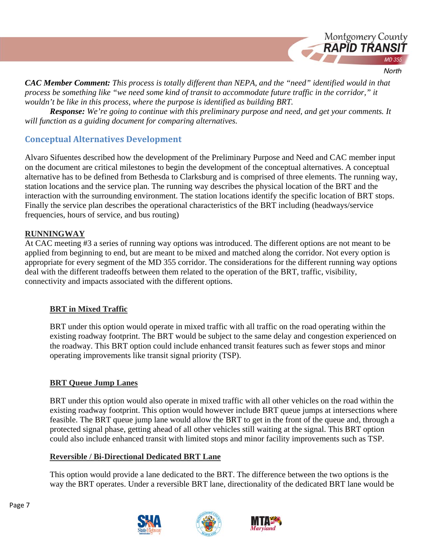

*CAC Member Comment: This process is totally different than NEPA, and the "need" identified would in that process be something like "we need some kind of transit to accommodate future traffic in the corridor," it wouldn't be like in this process, where the purpose is identified as building BRT.* 

*Response: We're going to continue with this preliminary purpose and need, and get your comments. It will function as a guiding document for comparing alternatives.* 

## **Conceptual Alternatives Development**

Alvaro Sifuentes described how the development of the Preliminary Purpose and Need and CAC member input on the document are critical milestones to begin the development of the conceptual alternatives. A conceptual alternative has to be defined from Bethesda to Clarksburg and is comprised of three elements. The running way, station locations and the service plan. The running way describes the physical location of the BRT and the interaction with the surrounding environment. The station locations identify the specific location of BRT stops. Finally the service plan describes the operational characteristics of the BRT including (headways/service frequencies, hours of service, and bus routing)

## **RUNNINGWAY**

At CAC meeting #3 a series of running way options was introduced. The different options are not meant to be applied from beginning to end, but are meant to be mixed and matched along the corridor. Not every option is appropriate for every segment of the MD 355 corridor. The considerations for the different running way options deal with the different tradeoffs between them related to the operation of the BRT, traffic, visibility, connectivity and impacts associated with the different options.

## **BRT in Mixed Traffic**

BRT under this option would operate in mixed traffic with all traffic on the road operating within the existing roadway footprint. The BRT would be subject to the same delay and congestion experienced on the roadway. This BRT option could include enhanced transit features such as fewer stops and minor operating improvements like transit signal priority (TSP).

## **BRT Queue Jump Lanes**

BRT under this option would also operate in mixed traffic with all other vehicles on the road within the existing roadway footprint. This option would however include BRT queue jumps at intersections where feasible. The BRT queue jump lane would allow the BRT to get in the front of the queue and, through a protected signal phase, getting ahead of all other vehicles still waiting at the signal. This BRT option could also include enhanced transit with limited stops and minor facility improvements such as TSP.

#### **Reversible / Bi-Directional Dedicated BRT Lane**

This option would provide a lane dedicated to the BRT. The difference between the two options is the way the BRT operates. Under a reversible BRT lane, directionality of the dedicated BRT lane would be





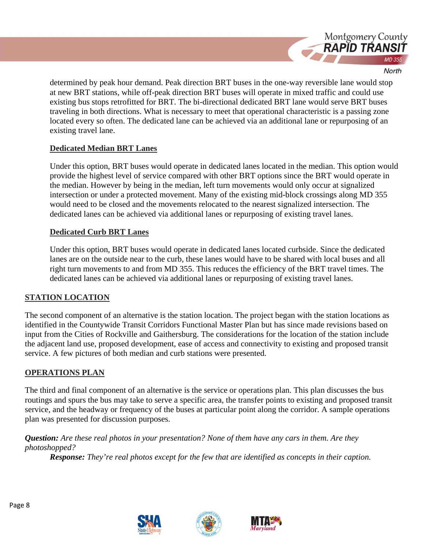

determined by peak hour demand. Peak direction BRT buses in the one-way reversible lane would stop at new BRT stations, while off-peak direction BRT buses will operate in mixed traffic and could use existing bus stops retrofitted for BRT. The bi-directional dedicated BRT lane would serve BRT buses traveling in both directions. What is necessary to meet that operational characteristic is a passing zone located every so often. The dedicated lane can be achieved via an additional lane or repurposing of an existing travel lane.

#### **Dedicated Median BRT Lanes**

Under this option, BRT buses would operate in dedicated lanes located in the median. This option would provide the highest level of service compared with other BRT options since the BRT would operate in the median. However by being in the median, left turn movements would only occur at signalized intersection or under a protected movement. Many of the existing mid-block crossings along MD 355 would need to be closed and the movements relocated to the nearest signalized intersection. The dedicated lanes can be achieved via additional lanes or repurposing of existing travel lanes.

#### **Dedicated Curb BRT Lanes**

Under this option, BRT buses would operate in dedicated lanes located curbside. Since the dedicated lanes are on the outside near to the curb, these lanes would have to be shared with local buses and all right turn movements to and from MD 355. This reduces the efficiency of the BRT travel times. The dedicated lanes can be achieved via additional lanes or repurposing of existing travel lanes.

## **STATION LOCATION**

The second component of an alternative is the station location. The project began with the station locations as identified in the Countywide Transit Corridors Functional Master Plan but has since made revisions based on input from the Cities of Rockville and Gaithersburg. The considerations for the location of the station include the adjacent land use, proposed development, ease of access and connectivity to existing and proposed transit service. A few pictures of both median and curb stations were presented.

#### **OPERATIONS PLAN**

The third and final component of an alternative is the service or operations plan. This plan discusses the bus routings and spurs the bus may take to serve a specific area, the transfer points to existing and proposed transit service, and the headway or frequency of the buses at particular point along the corridor. A sample operations plan was presented for discussion purposes.

*Question: Are these real photos in your presentation? None of them have any cars in them. Are they photoshopped?* 

*Response: They're real photos except for the few that are identified as concepts in their caption.* 



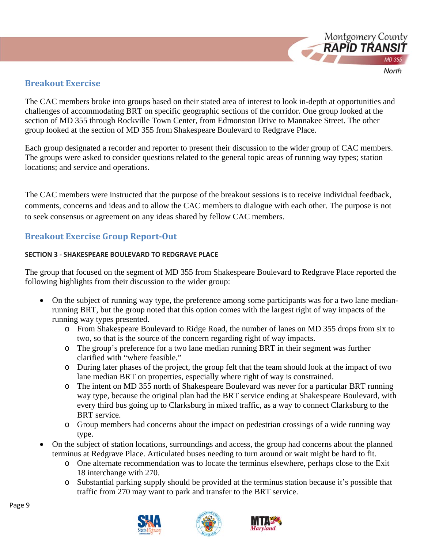

# **Breakout Exercise**

The CAC members broke into groups based on their stated area of interest to look in-depth at opportunities and challenges of accommodating BRT on specific geographic sections of the corridor. One group looked at the section of MD 355 through Rockville Town Center, from Edmonston Drive to Mannakee Street. The other group looked at the section of MD 355 from Shakespeare Boulevard to Redgrave Place.

Each group designated a recorder and reporter to present their discussion to the wider group of CAC members. The groups were asked to consider questions related to the general topic areas of running way types; station locations; and service and operations.

The CAC members were instructed that the purpose of the breakout sessions is to receive individual feedback, comments, concerns and ideas and to allow the CAC members to dialogue with each other. The purpose is not to seek consensus or agreement on any ideas shared by fellow CAC members.

# **Breakout Exercise Group Report‐Out**

#### **SECTION 3 ‐ SHAKESPEARE BOULEVARD TO REDGRAVE PLACE**

The group that focused on the segment of MD 355 from Shakespeare Boulevard to Redgrave Place reported the following highlights from their discussion to the wider group:

- On the subject of running way type, the preference among some participants was for a two lane medianrunning BRT, but the group noted that this option comes with the largest right of way impacts of the running way types presented.
	- o From Shakespeare Boulevard to Ridge Road, the number of lanes on MD 355 drops from six to two, so that is the source of the concern regarding right of way impacts.
	- o The group's preference for a two lane median running BRT in their segment was further clarified with "where feasible."
	- o During later phases of the project, the group felt that the team should look at the impact of two lane median BRT on properties, especially where right of way is constrained.
	- o The intent on MD 355 north of Shakespeare Boulevard was never for a particular BRT running way type, because the original plan had the BRT service ending at Shakespeare Boulevard, with every third bus going up to Clarksburg in mixed traffic, as a way to connect Clarksburg to the BRT service.
	- o Group members had concerns about the impact on pedestrian crossings of a wide running way type.
- On the subject of station locations, surroundings and access, the group had concerns about the planned terminus at Redgrave Place. Articulated buses needing to turn around or wait might be hard to fit.
	- o One alternate recommendation was to locate the terminus elsewhere, perhaps close to the Exit 18 interchange with 270.
	- o Substantial parking supply should be provided at the terminus station because it's possible that traffic from 270 may want to park and transfer to the BRT service.





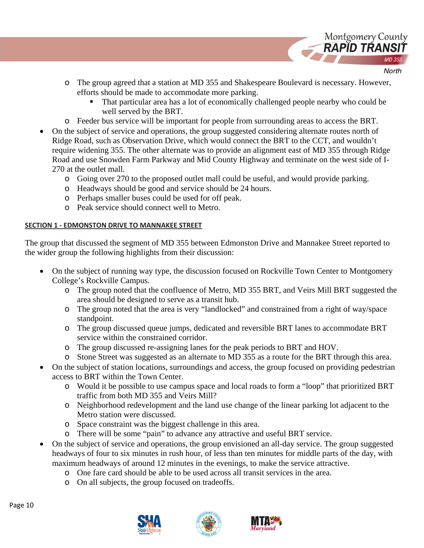

- o The group agreed that a station at MD 355 and Shakespeare Boulevard is necessary. However, efforts should be made to accommodate more parking.
	- That particular area has a lot of economically challenged people nearby who could be well served by the BRT.
- o Feeder bus service will be important for people from surrounding areas to access the BRT.
- On the subject of service and operations, the group suggested considering alternate routes north of Ridge Road, such as Observation Drive, which would connect the BRT to the CCT, and wouldn't require widening 355. The other alternate was to provide an alignment east of MD 355 through Ridge Road and use Snowden Farm Parkway and Mid County Highway and terminate on the west side of I-270 at the outlet mall.
	- o Going over 270 to the proposed outlet mall could be useful, and would provide parking.
	- o Headways should be good and service should be 24 hours.
	- o Perhaps smaller buses could be used for off peak.
	- o Peak service should connect well to Metro.

#### **SECTION 1 ‐ EDMONSTON DRIVE TO MANNAKEE STREET**

The group that discussed the segment of MD 355 between Edmonston Drive and Mannakee Street reported to the wider group the following highlights from their discussion:

- On the subject of running way type, the discussion focused on Rockville Town Center to Montgomery College's Rockville Campus.
	- o The group noted that the confluence of Metro, MD 355 BRT, and Veirs Mill BRT suggested the area should be designed to serve as a transit hub.
	- o The group noted that the area is very "landlocked" and constrained from a right of way/space standpoint.
	- o The group discussed queue jumps, dedicated and reversible BRT lanes to accommodate BRT service within the constrained corridor.
	- o The group discussed re-assigning lanes for the peak periods to BRT and HOV.
	- o Stone Street was suggested as an alternate to MD 355 as a route for the BRT through this area.
- On the subject of station locations, surroundings and access, the group focused on providing pedestrian access to BRT within the Town Center.
	- o Would it be possible to use campus space and local roads to form a "loop" that prioritized BRT traffic from both MD 355 and Veirs Mill?
	- o Neighborhood redevelopment and the land use change of the linear parking lot adjacent to the Metro station were discussed.
	- o Space constraint was the biggest challenge in this area.
	- o There will be some "pain" to advance any attractive and useful BRT service.
- On the subject of service and operations, the group envisioned an all-day service. The group suggested headways of four to six minutes in rush hour, of less than ten minutes for middle parts of the day, with maximum headways of around 12 minutes in the evenings, to make the service attractive.
	- o One fare card should be able to be used across all transit services in the area.
	- o On all subjects, the group focused on tradeoffs.